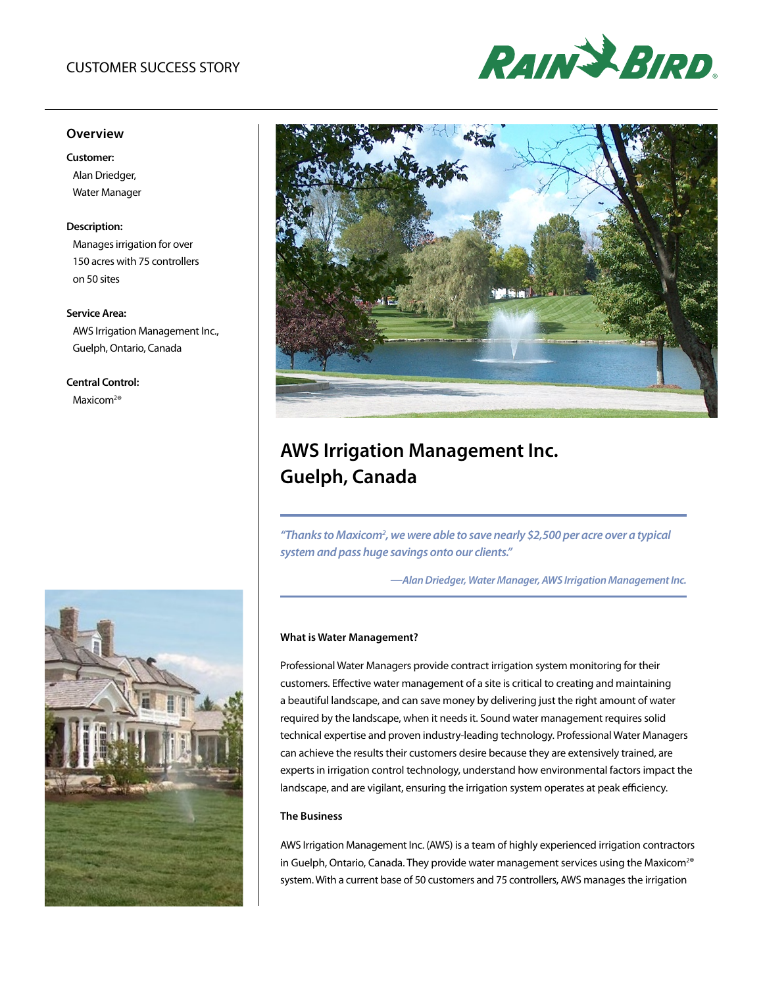# CUSTOMER SUCCESS STORY



# **Overview**

#### **Customer:**

Alan Driedger, Water Manager

## **Description:**

Manages irrigation for over 150 acres with 75 controllers on 50 sites

#### **Service Area:**

AWS Irrigation Management Inc., Guelph, Ontario, Canada

# **Central Control:**

Maxicom<sup>2®</sup>





# **AWS Irrigation Management Inc. Guelph, Canada**

"Thanks to Maxicom<sup>2</sup>, we were able to save nearly \$2,500 per acre over a typical *system and pass huge savings onto our clients."*

*—Alan Driedger, Water Manager, AWS Irrigation Management Inc.*

#### **What is Water Management?**

Professional Water Managers provide contract irrigation system monitoring for their customers. Effective water management of a site is critical to creating and maintaining a beautiful landscape, and can save money by delivering just the right amount of water required by the landscape, when it needs it. Sound water management requires solid technical expertise and proven industry-leading technology. Professional Water Managers can achieve the results their customers desire because they are extensively trained, are experts in irrigation control technology, understand how environmental factors impact the landscape, and are vigilant, ensuring the irrigation system operates at peak efficiency.

# **The Business**

AWS Irrigation Management Inc. (AWS) is a team of highly experienced irrigation contractors in Guelph, Ontario, Canada. They provide water management services using the Maxicom<sup>2®</sup> system. With a current base of 50 customers and 75 controllers, AWS manages the irrigation